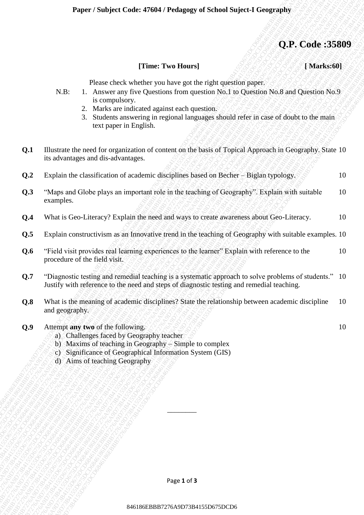### **Q.P. Code :35809**

| [Time: Two Hours] |  | [Marks:60] |
|-------------------|--|------------|
|-------------------|--|------------|

| [Marks:60] |  |
|------------|--|
|            |  |

- N.B: 1. Answer any five Questions from question No.1 to Question No.8 and Question No.9 is compulsory.
	- 2. Marks are indicated against each question.
	- 3. Students answering in regional languages should refer in case of doubt to the main text paper in English.

| Illustrate the need for organization of content on the basis of Topical Approach in Geography. State 10 |  |
|---------------------------------------------------------------------------------------------------------|--|
| its advantages and dis-advantages.                                                                      |  |

| [Time: Two Hours]<br>[Marks:60]<br>Please check whether you have got the right question paper.<br>$N.B$ :<br>1. Answer any five Questions from question No.1 to Question No.8 and Question No.9<br>is compulsory.<br>2. Marks are indicated against each question.<br>Students answering in regional languages should refer in case of doubt to the main<br>3.<br>text paper in English.<br>Q.1<br>Illustrate the need for organization of content on the basis of Topical Approach in Geography. State 10<br>its advantages and dis-advantages.<br>Explain the classification of academic disciplines based on Becher - Biglan typology.<br>10<br>Q <sub>0</sub><br>Q.3<br>"Maps and Globe plays an important role in the teaching of Geography". Explain with suitable<br>10<br>examples.<br>What is Geo-Literacy? Explain the need and ways to create awareness about Geo-Literacy.<br>10<br>Q.4<br>Explain constructivism as an Innovative trend in the teaching of Geography with suitable examples. 10<br>Q.5<br>"Field visit provides real learning experiences to the learner" Explain with reference to the<br>Q.6<br>10<br>procedure of the field visit.<br>"Diagnostic testing and remedial teaching is a systematic approach to solve problems of students." 10<br>Q.7<br>Justify with reference to the need and steps of diagnostic testing and remedial teaching.<br>What is the meaning of academic disciplines? State the relationship between academic discipline<br>10<br>Q.8<br>and geography.<br>Q.9<br>10<br>Attempt any two of the following.<br>a) Challenges faced by Geography teacher<br>b) Maxims of teaching in Geography - Simple to complex<br>c) Significance of Geographical Information System (GIS)<br>d) Aims of teaching Geography | Page 1 of 3 |  | Q.P. Code:35809 |
|------------------------------------------------------------------------------------------------------------------------------------------------------------------------------------------------------------------------------------------------------------------------------------------------------------------------------------------------------------------------------------------------------------------------------------------------------------------------------------------------------------------------------------------------------------------------------------------------------------------------------------------------------------------------------------------------------------------------------------------------------------------------------------------------------------------------------------------------------------------------------------------------------------------------------------------------------------------------------------------------------------------------------------------------------------------------------------------------------------------------------------------------------------------------------------------------------------------------------------------------------------------------------------------------------------------------------------------------------------------------------------------------------------------------------------------------------------------------------------------------------------------------------------------------------------------------------------------------------------------------------------------------------------------------------------------------------------------------------------------------------------------------|-------------|--|-----------------|
|                                                                                                                                                                                                                                                                                                                                                                                                                                                                                                                                                                                                                                                                                                                                                                                                                                                                                                                                                                                                                                                                                                                                                                                                                                                                                                                                                                                                                                                                                                                                                                                                                                                                                                                                                                        |             |  |                 |
|                                                                                                                                                                                                                                                                                                                                                                                                                                                                                                                                                                                                                                                                                                                                                                                                                                                                                                                                                                                                                                                                                                                                                                                                                                                                                                                                                                                                                                                                                                                                                                                                                                                                                                                                                                        |             |  |                 |
|                                                                                                                                                                                                                                                                                                                                                                                                                                                                                                                                                                                                                                                                                                                                                                                                                                                                                                                                                                                                                                                                                                                                                                                                                                                                                                                                                                                                                                                                                                                                                                                                                                                                                                                                                                        |             |  |                 |
|                                                                                                                                                                                                                                                                                                                                                                                                                                                                                                                                                                                                                                                                                                                                                                                                                                                                                                                                                                                                                                                                                                                                                                                                                                                                                                                                                                                                                                                                                                                                                                                                                                                                                                                                                                        |             |  |                 |
|                                                                                                                                                                                                                                                                                                                                                                                                                                                                                                                                                                                                                                                                                                                                                                                                                                                                                                                                                                                                                                                                                                                                                                                                                                                                                                                                                                                                                                                                                                                                                                                                                                                                                                                                                                        |             |  |                 |
|                                                                                                                                                                                                                                                                                                                                                                                                                                                                                                                                                                                                                                                                                                                                                                                                                                                                                                                                                                                                                                                                                                                                                                                                                                                                                                                                                                                                                                                                                                                                                                                                                                                                                                                                                                        |             |  |                 |
|                                                                                                                                                                                                                                                                                                                                                                                                                                                                                                                                                                                                                                                                                                                                                                                                                                                                                                                                                                                                                                                                                                                                                                                                                                                                                                                                                                                                                                                                                                                                                                                                                                                                                                                                                                        |             |  |                 |
|                                                                                                                                                                                                                                                                                                                                                                                                                                                                                                                                                                                                                                                                                                                                                                                                                                                                                                                                                                                                                                                                                                                                                                                                                                                                                                                                                                                                                                                                                                                                                                                                                                                                                                                                                                        |             |  |                 |
|                                                                                                                                                                                                                                                                                                                                                                                                                                                                                                                                                                                                                                                                                                                                                                                                                                                                                                                                                                                                                                                                                                                                                                                                                                                                                                                                                                                                                                                                                                                                                                                                                                                                                                                                                                        |             |  |                 |
|                                                                                                                                                                                                                                                                                                                                                                                                                                                                                                                                                                                                                                                                                                                                                                                                                                                                                                                                                                                                                                                                                                                                                                                                                                                                                                                                                                                                                                                                                                                                                                                                                                                                                                                                                                        |             |  |                 |
|                                                                                                                                                                                                                                                                                                                                                                                                                                                                                                                                                                                                                                                                                                                                                                                                                                                                                                                                                                                                                                                                                                                                                                                                                                                                                                                                                                                                                                                                                                                                                                                                                                                                                                                                                                        |             |  |                 |
|                                                                                                                                                                                                                                                                                                                                                                                                                                                                                                                                                                                                                                                                                                                                                                                                                                                                                                                                                                                                                                                                                                                                                                                                                                                                                                                                                                                                                                                                                                                                                                                                                                                                                                                                                                        |             |  |                 |
|                                                                                                                                                                                                                                                                                                                                                                                                                                                                                                                                                                                                                                                                                                                                                                                                                                                                                                                                                                                                                                                                                                                                                                                                                                                                                                                                                                                                                                                                                                                                                                                                                                                                                                                                                                        |             |  |                 |
|                                                                                                                                                                                                                                                                                                                                                                                                                                                                                                                                                                                                                                                                                                                                                                                                                                                                                                                                                                                                                                                                                                                                                                                                                                                                                                                                                                                                                                                                                                                                                                                                                                                                                                                                                                        |             |  |                 |
|                                                                                                                                                                                                                                                                                                                                                                                                                                                                                                                                                                                                                                                                                                                                                                                                                                                                                                                                                                                                                                                                                                                                                                                                                                                                                                                                                                                                                                                                                                                                                                                                                                                                                                                                                                        |             |  |                 |

- **Q.4** What is Geo-Literacy? Explain the need and ways to create awareness about Geo-Literacy. 10
- **Q.5** Explain constructivism as an Innovative trend in the teaching of Geography with suitable examples. 10
- **Q.6** "Field visit provides real learning experiences to the learner" Explain with reference to the procedure of the field visit. 10
- **Q.7** "Diagnostic testing and remedial teaching is a systematic approach to solve problems of students." Justify with reference to the need and steps of diagnostic testing and remedial teaching. 10
- **Q.8** What is the meaning of academic disciplines? State the relationship between academic discipline and geography. 10
- **Q.9** Attempt **any two** of the following.
	- a) Challenges faced by Geography teacher
	- b) Maxims of teaching in Geography Simple to complex
	- c) Significance of Geographical Information System (GIS)
	- d) Aims of teaching Geography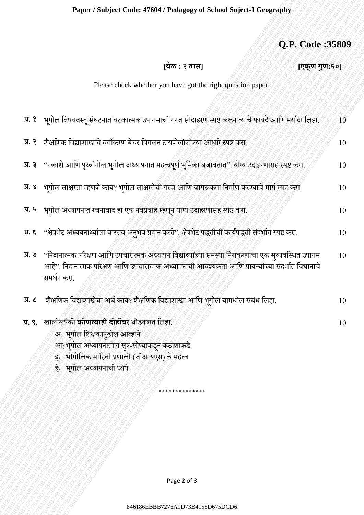# **Q.P. Code :35809**

#### Please check whether you have got the right question paper.

|                                 |                                                                                                                                                                                                                                 | Q.P. Code:35809 |
|---------------------------------|---------------------------------------------------------------------------------------------------------------------------------------------------------------------------------------------------------------------------------|-----------------|
|                                 | [वेळ : २ तास]                                                                                                                                                                                                                   | [एकूण गुण:६०]   |
|                                 | Please check whether you have got the right question paper.                                                                                                                                                                     |                 |
|                                 |                                                                                                                                                                                                                                 |                 |
| प्र. १                          | भूगोल विषयवस्तू संघटनात घटकात्मक उपागमाची गरज सोदाहरण स्पष्ट करून त्याचे फायदे आणि मर्यादा लिहा.                                                                                                                                | $10^{\circ}$    |
| $\overline{y}$ . $\overline{z}$ | शैक्षणिक विद्याशाखांचे वर्गीकरण बेचर बिगलन टायपोलॉजीच्या आधारे स्पष्ट करा.                                                                                                                                                      | 10              |
| प्र. ३                          | ''नकाशे आणि पृथ्वीगोल भूगोल अध्यापनात महत्वपूर्ण भूमिका बजावतात''. योग्य उदाहरणासह स्पष्ट करा,                                                                                                                                  | 10              |
|                                 | प्र. ४    भूगोल साक्षरता म्हणजे काय? भूगोल साक्षरतेची गरज आणि जागरूकता निर्माण करण्याचे मार्ग स्पष्ट करा.                                                                                                                       | 10              |
|                                 | प्र. ५ भूगोल अध्यापनात रचनावाद हा एक नवप्रवाह म्हणून योग्य उदाहरणासह स्पष्ट करा.                                                                                                                                                | 10              |
|                                 | प्र. ६ "क्षेत्रभेट अध्ययनार्थ्याला वास्तव अनुभव प्रदान करते" क्षेत्रभेट पद्धतीची कार्यपद्धती संदर्भात स्पष्ट करा.                                                                                                               | 10              |
|                                 | प्र. ७     "निदानात्मक परिक्षण आणि उपचारात्मक अध्यापन विद्यार्थ्यांच्या समस्या निराकरणाचा एक सुव्यवस्थित उपागम<br>आहे". निदानात्मक परिक्षण आणि उपचारात्मक अध्यापनाची आवश्यकता आणि पायऱ्यांच्या संदर्भात विधानाचे<br>समर्थन करा. | 10              |
| $\overline{X}$ . $\zeta$        | शैक्षणिक विद्याशाखेचा अर्थ काय? शैक्षणिक विद्याशाखा आणि भूगोल यामधील संबंध लिहा.                                                                                                                                                | 10              |
|                                 | प्र. ९. खालीलपैकी कोणत्याही दोहोंवर थोडक्यात लिहा.<br>अ) भूगोल शिक्षकापुढील आव्हाने<br>आ) भूगोल अध्यापनातील सुत्र-सोप्याकडून कठीणाकडे<br>इ) भौगोलिक माहिती प्रणाली (जीआयएस) चे महत्व<br>ई) भूगोल अध्यापनाची ध्येये              | 10              |
|                                 |                                                                                                                                                                                                                                 |                 |
|                                 |                                                                                                                                                                                                                                 |                 |
|                                 | Page 2 of 3                                                                                                                                                                                                                     |                 |